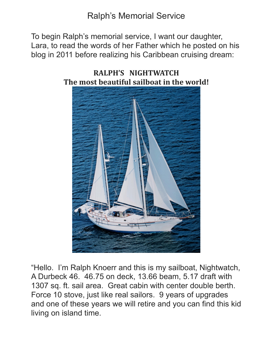Ralph's Memorial Service

To begin Ralph's memorial service, I want our daughter, Lara, to read the words of her Father which he posted on his blog in 2011 before realizing his Caribbean cruising dream:



**RALPH'S NIGHTWATCH** The most beautiful sailboat in the world!

"Hello. I'm Ralph Knoerr and this is my sailboat, Nightwatch, A Durbeck 46. 46.75 on deck, 13.66 beam, 5.17 draft with 1307 sq. ft. sail area. Great cabin with center double berth. Force 10 stove, just like real sailors. 9 years of upgrades and one of these years we will retire and you can find this kid living on island time.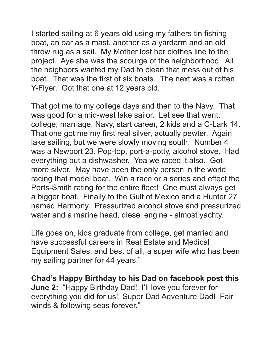I started sailing at 6 years old using my fathers tin fishing boat, an oar as a mast, another as a yardarm and an old throw rug as a sail. My Mother lost her clothes line to the project. Aye she was the scourge of the neighborhood. All the neighbors wanted my Dad to clean that mess out of his boat. That was the first of six boats. The next was a rotten Y-Flyer. Got that one at 12 years old.

That got me to my college days and then to the Navy. That was good for a mid-west lake sailor. Let see that went: college, marriage, Navy, start career, 2 kids and a C-Lark 14. That one got me my first real silver, actually pewter. Again lake sailing, but we were slowly moving south. Number 4 was a Newport 23. Pop-top, port-a-potty, alcohol stove. Had everything but a dishwasher. Yea we raced it also. Got more silver. May have been the only person in the world racing that model boat. Win a race or a series and effect the Ports-Smith rating for the entire fleet! One must always get a bigger boat. Finally to the Gulf of Mexico and a Hunter 27 named Harmony. Pressurized alcohol stove and pressurized water and a marine head, diesel engine - almost yachty.

Life goes on, kids graduate from college, get married and have successful careers in Real Estate and Medical Equipment Sales, and best of all, a super wife who has been my sailing partner for 44 years."

**Chad's Happy Birthday to his Dad on facebook post this June 2:** "Happy Birthday Dad! I'll love you forever for everything you did for us! Super Dad Adventure Dad! Fair winds & following seas forever."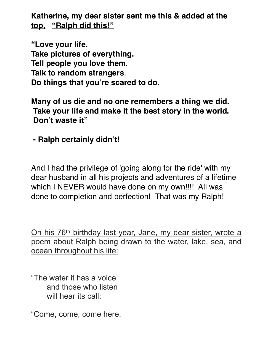**Katherine, my dear sister sent me this & added at the top, "Ralph did this!"**

**"Love your life. Take pictures of everything. Tell people you love them**. **Talk to random strangers**. **Do things that you're scared to do**.

**Many of us die and no one remembers a thing we did. Take your life and make it the best story in the world. Don't waste it"** 

 **- Ralph certainly didn't!**

And I had the privilege of 'going along for the ride' with my dear husband in all his projects and adventures of a lifetime which I NEVER would have done on my own!!!! All was done to completion and perfection! That was my Ralph!

On his 76<sup>th</sup> birthday last year, Jane, my dear sister, wrote a poem about Ralph being drawn to the water, lake, sea, and ocean throughout his life:

"The water it has a voice and those who listen will hear its call:

"Come, come, come here.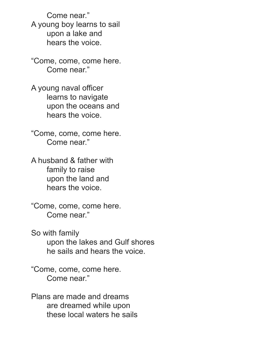Come near." A young boy learns to sail upon a lake and hears the voice.

"Come, come, come here. Come near."

A young naval officer learns to navigate upon the oceans and hears the voice.

"Come, come, come here. Come near."

A husband & father with family to raise upon the land and hears the voice.

"Come, come, come here. Come near."

So with family upon the lakes and Gulf shores he sails and hears the voice.

"Come, come, come here. Come near."

Plans are made and dreams are dreamed while upon these local waters he sails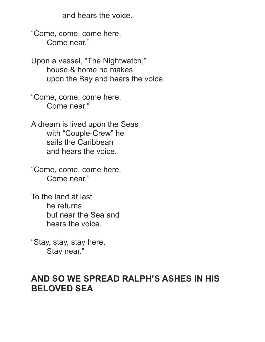and hears the voice.

"Come, come, come here. Come near."

Upon a vessel, "The Nightwatch," house & home he makes upon the Bay and hears the voice.

"Come, come, come here. Come near."

A dream is lived upon the Seas with "Couple-Crew" he sails the Caribbean and hears the voice.

"Come, come, come here. Come near."

To the land at last he returns but near the Sea and hears the voice.

"Stay, stay, stay here. Stay near."

#### **AND SO WE SPREAD RALPH'S ASHES IN HIS BELOVED SEA**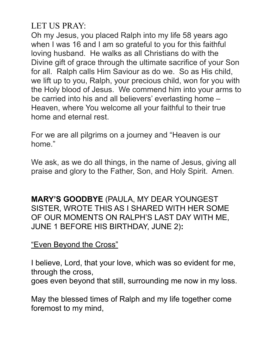LET US PRAY:

Oh my Jesus, you placed Ralph into my life 58 years ago when I was 16 and I am so grateful to you for this faithful loving husband. He walks as all Christians do with the Divine gift of grace through the ultimate sacrifice of your Son for all. Ralph calls Him Saviour as do we. So as His child, we lift up to you, Ralph, your precious child, won for you with the Holy blood of Jesus. We commend him into your arms to be carried into his and all believers' everlasting home – Heaven, where You welcome all your faithful to their true home and eternal rest.

For we are all pilgrims on a journey and "Heaven is our home."

We ask, as we do all things, in the name of Jesus, giving all praise and glory to the Father, Son, and Holy Spirit. Amen.

**MARY'S GOODBYE** (PAULA, MY DEAR YOUNGEST SISTER, WROTE THIS AS I SHARED WITH HER SOME OF OUR MOMENTS ON RALPH'S LAST DAY WITH ME, JUNE 1 BEFORE HIS BIRTHDAY, JUNE 2)**:**

"Even Beyond the Cross"

I believe, Lord, that your love, which was so evident for me, through the cross,

goes even beyond that still, surrounding me now in my loss.

May the blessed times of Ralph and my life together come foremost to my mind,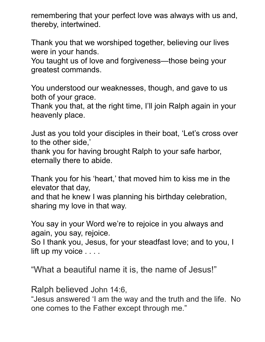remembering that your perfect love was always with us and, thereby, intertwined.

Thank you that we worshiped together, believing our lives were in your hands.

You taught us of love and forgiveness—those being your greatest commands.

You understood our weaknesses, though, and gave to us both of your grace.

Thank you that, at the right time, I'll join Ralph again in your heavenly place.

Just as you told your disciples in their boat, 'Let's cross over to the other side,'

thank you for having brought Ralph to your safe harbor, eternally there to abide.

Thank you for his 'heart,' that moved him to kiss me in the elevator that day,

and that he knew I was planning his birthday celebration, sharing my love in that way.

You say in your Word we're to rejoice in you always and again, you say, rejoice.

So I thank you, Jesus, for your steadfast love; and to you, I lift up my voice . . . .

"What a beautiful name it is, the name of Jesus!"

Ralph believed John 14:6,

"Jesus answered 'I am the way and the truth and the life. No one comes to the Father except through me."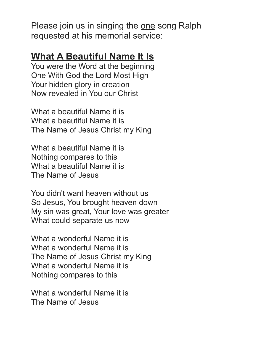Please join us in singing the one song Ralph requested at his memorial service:

### **What A Beautiful Name It Is**

You were the Word at the beginning One With God the Lord Most High Your hidden glory in creation Now revealed in You our Christ

What a beautiful Name it is What a beautiful Name it is The Name of Jesus Christ my King

What a beautiful Name it is Nothing compares to this What a beautiful Name it is The Name of Jesus

You didn't want heaven without us So Jesus, You brought heaven down My sin was great, Your love was greater What could separate us now

What a wonderful Name it is What a wonderful Name it is The Name of Jesus Christ my King What a wonderful Name it is Nothing compares to this

What a wonderful Name it is The Name of Jesus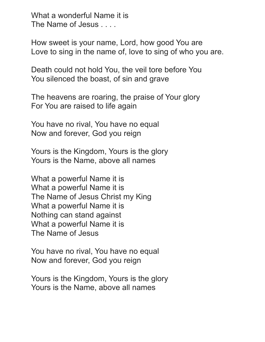What a wonderful Name it is The Name of Jesus . . . .

How sweet is your name, Lord, how good You are Love to sing in the name of, love to sing of who you are.

Death could not hold You, the veil tore before You You silenced the boast, of sin and grave

The heavens are roaring, the praise of Your glory For You are raised to life again

You have no rival, You have no equal Now and forever, God you reign

Yours is the Kingdom, Yours is the glory Yours is the Name, above all names

What a powerful Name it is What a powerful Name it is The Name of Jesus Christ my King What a powerful Name it is Nothing can stand against What a powerful Name it is The Name of Jesus

You have no rival, You have no equal Now and forever, God you reign

Yours is the Kingdom, Yours is the glory Yours is the Name, above all names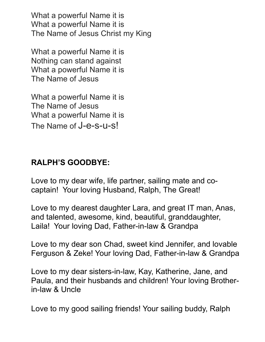What a powerful Name it is What a powerful Name it is The Name of Jesus Christ my King

What a powerful Name it is Nothing can stand against What a powerful Name it is The Name of Jesus

What a powerful Name it is The Name of Jesus What a powerful Name it is The Name of J-e-s-u-s!

#### **RALPH'S GOODBYE:**

Love to my dear wife, life partner, sailing mate and cocaptain! Your loving Husband, Ralph, The Great!

Love to my dearest daughter Lara, and great IT man, Anas, and talented, awesome, kind, beautiful, granddaughter, Laila! Your loving Dad, Father-in-law & Grandpa

Love to my dear son Chad, sweet kind Jennifer, and lovable Ferguson & Zeke! Your loving Dad, Father-in-law & Grandpa

Love to my dear sisters-in-law, Kay, Katherine, Jane, and Paula, and their husbands and children! Your loving Brotherin-law & Uncle

Love to my good sailing friends! Your sailing buddy, Ralph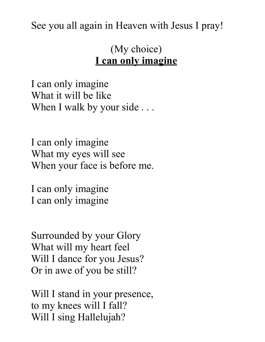## See you all again in Heaven with Jesus I pray!

# (My choice) **I can only imagine**

I can only imagine What it will be like When I walk by your side . . .

I can only imagine What my eyes will see When your face is before me.

I can only imagine I can only imagine

Surrounded by your Glory What will my heart feel Will I dance for you Jesus? Or in awe of you be still?

Will I stand in your presence, to my knees will I fall? Will I sing Hallelujah?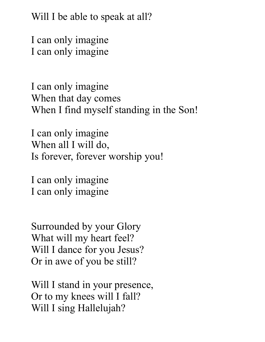Will I be able to speak at all?

I can only imagine I can only imagine

I can only imagine When that day comes When I find myself standing in the Son!

I can only imagine When all I will do, Is forever, forever worship you!

I can only imagine I can only imagine

Surrounded by your Glory What will my heart feel? Will I dance for you Jesus? Or in awe of you be still?

Will I stand in your presence, Or to my knees will I fall? Will I sing Hallelujah?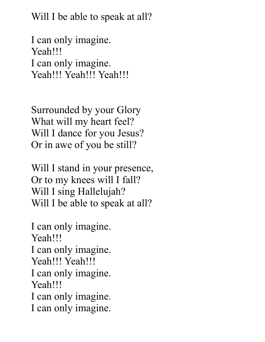Will I be able to speak at all?

I can only imagine. Yeah!!! I can only imagine. Yeah!!! Yeah!!! Yeah!!!

Surrounded by your Glory What will my heart feel? Will I dance for you Jesus? Or in awe of you be still?

Will I stand in your presence, Or to my knees will I fall? Will I sing Hallelujah? Will I be able to speak at all?

I can only imagine. Yeah!!! I can only imagine. Yeah!!! Yeah!!! I can only imagine. Yeah!!! I can only imagine. I can only imagine.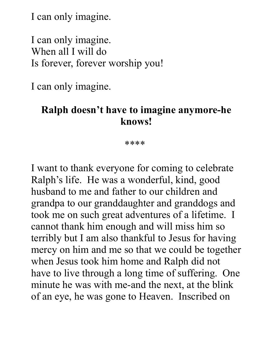I can only imagine.

I can only imagine. When all I will do Is forever, forever worship you!

I can only imagine.

# **Ralph doesn't have to imagine anymore-he knows!**

\*\*\*\*

I want to thank everyone for coming to celebrate Ralph's life. He was a wonderful, kind, good husband to me and father to our children and grandpa to our granddaughter and granddogs and took me on such great adventures of a lifetime. I cannot thank him enough and will miss him so terribly but I am also thankful to Jesus for having mercy on him and me so that we could be together when Jesus took him home and Ralph did not have to live through a long time of suffering. One minute he was with me-and the next, at the blink of an eye, he was gone to Heaven. Inscribed on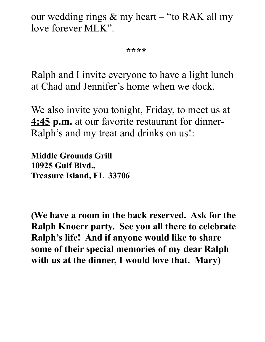our wedding rings & my heart – "to RAK all my love forever MLK".

**\*\*\*\***

Ralph and I invite everyone to have a light lunch at Chad and Jennifer's home when we dock.

We also invite you tonight, Friday, to meet us at **4:45 p.m.** at our favorite restaurant for dinner-Ralph's and my treat and drinks on us!:

**Middle Grounds Grill 10925 Gulf Blvd., Treasure Island, FL 33706**

**(We have a room in the back reserved. Ask for the Ralph Knoerr party. See you all there to celebrate Ralph's life! And if anyone would like to share some of their special memories of my dear Ralph with us at the dinner, I would love that. Mary)**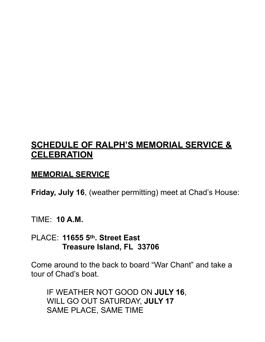### **SCHEDULE OF RALPH'S MEMORIAL SERVICE & CELEBRATION**

#### **MEMORIAL SERVICE**

**Friday, July 16**, (weather permitting) meet at Chad's House:

TIME: **10 A.M.**

#### PLACE: **11655 5th. Street East Treasure Island, FL 33706**

Come around to the back to board "War Chant" and take a tour of Chad's boat.

IF WEATHER NOT GOOD ON **JULY 16**, WILL GO OUT SATURDAY, **JULY 17** SAME PLACE, SAME TIME